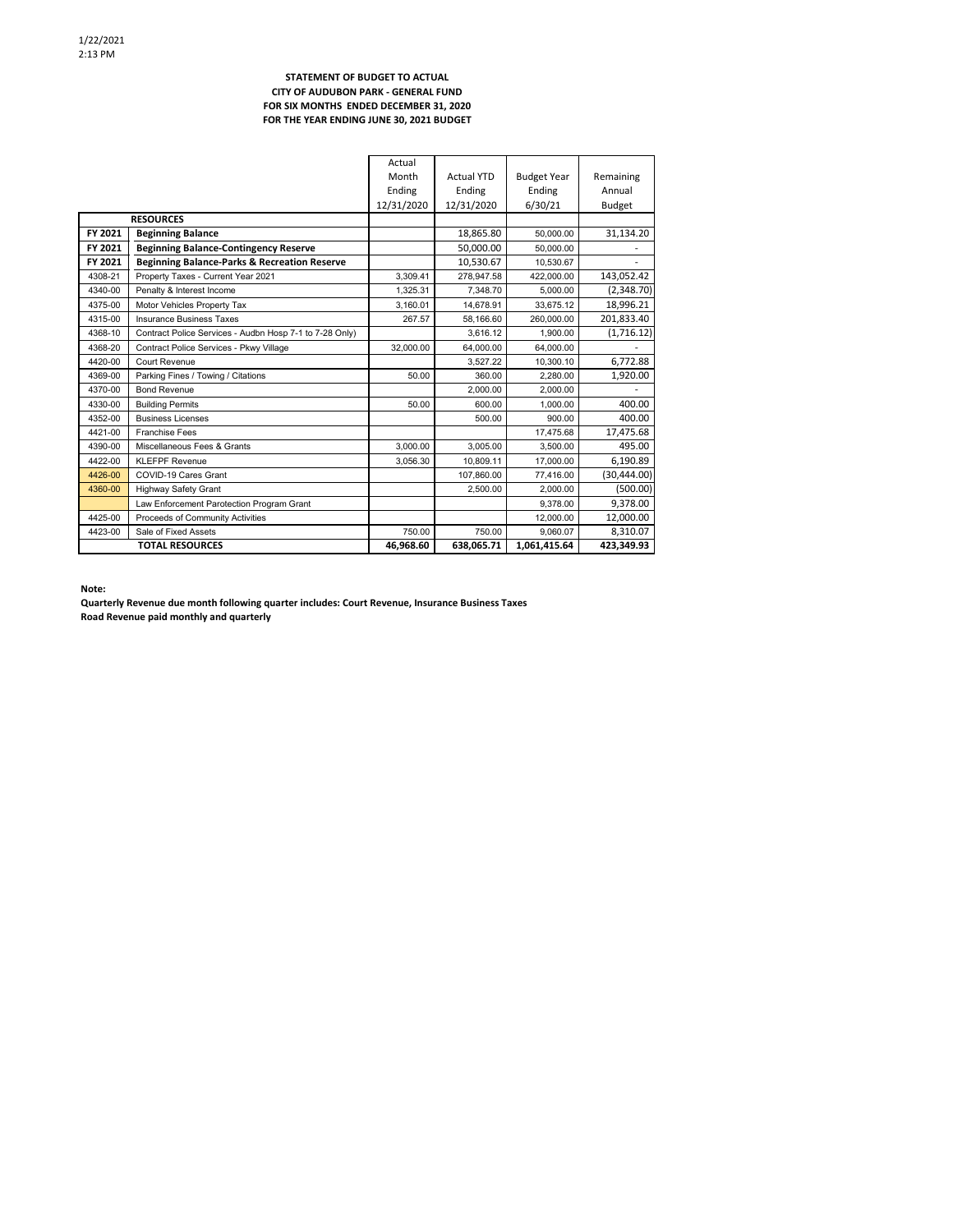#### **STATEMENT OF BUDGET TO ACTUAL CITY OF AUDUBON PARK ‐ GENERAL FUND FOR SIX MONTHS ENDED DECEMBER 31, 2020 FOR THE YEAR ENDING JUNE 30, 2021 BUDGET**

|         |                                                         | Actual     |                   |                    |               |
|---------|---------------------------------------------------------|------------|-------------------|--------------------|---------------|
|         |                                                         | Month      | <b>Actual YTD</b> | <b>Budget Year</b> | Remaining     |
|         |                                                         | Ending     | Ending            | Ending             | Annual        |
|         |                                                         | 12/31/2020 | 12/31/2020        | 6/30/21            | <b>Budget</b> |
|         | <b>RESOURCES</b>                                        |            |                   |                    |               |
| FY 2021 | <b>Beginning Balance</b>                                |            | 18.865.80         | 50.000.00          | 31,134.20     |
| FY 2021 | <b>Beginning Balance-Contingency Reserve</b>            |            | 50.000.00         | 50.000.00          |               |
| FY 2021 | <b>Beginning Balance-Parks &amp; Recreation Reserve</b> |            | 10,530.67         | 10.530.67          |               |
| 4308-21 | Property Taxes - Current Year 2021                      | 3.309.41   | 278.947.58        | 422.000.00         | 143,052.42    |
| 4340-00 | Penalty & Interest Income                               | 1.325.31   | 7.348.70          | 5.000.00           | (2,348.70)    |
| 4375-00 | Motor Vehicles Property Tax                             | 3.160.01   | 14.678.91         | 33.675.12          | 18,996.21     |
| 4315-00 | <b>Insurance Business Taxes</b>                         | 267.57     | 58,166.60         | 260.000.00         | 201,833.40    |
| 4368-10 | Contract Police Services - Audbn Hosp 7-1 to 7-28 Only) |            | 3.616.12          | 1.900.00           | (1,716.12)    |
| 4368-20 | Contract Police Services - Pkwy Village                 | 32.000.00  | 64,000.00         | 64,000.00          |               |
| 4420-00 | Court Revenue                                           |            | 3,527.22          | 10.300.10          | 6,772.88      |
| 4369-00 | Parking Fines / Towing / Citations                      | 50.00      | 360.00            | 2.280.00           | 1,920.00      |
| 4370-00 | <b>Bond Revenue</b>                                     |            | 2.000.00          | 2.000.00           |               |
| 4330-00 | <b>Building Permits</b>                                 | 50.00      | 600.00            | 1.000.00           | 400.00        |
| 4352-00 | <b>Business Licenses</b>                                |            | 500.00            | 900.00             | 400.00        |
| 4421-00 | <b>Franchise Fees</b>                                   |            |                   | 17.475.68          | 17,475.68     |
| 4390-00 | Miscellaneous Fees & Grants                             | 3,000.00   | 3,005.00          | 3.500.00           | 495.00        |
| 4422-00 | <b>KLEFPF Revenue</b>                                   | 3,056.30   | 10.809.11         | 17,000.00          | 6,190.89      |
| 4426-00 | COVID-19 Cares Grant                                    |            | 107,860.00        | 77,416.00          | (30, 444.00)  |
| 4360-00 | <b>Highway Safety Grant</b>                             |            | 2,500.00          | 2.000.00           | (500.00)      |
|         | Law Enforcement Parotection Program Grant               |            |                   | 9.378.00           | 9.378.00      |
| 4425-00 | Proceeds of Community Activities                        |            |                   | 12,000.00          | 12,000.00     |
| 4423-00 | Sale of Fixed Assets                                    | 750.00     | 750.00            | 9.060.07           | 8,310.07      |
|         | <b>TOTAL RESOURCES</b>                                  | 46,968.60  | 638,065.71        | 1,061,415.64       | 423,349.93    |

**Note:**

**Quarterly Revenue due month following quarter includes: Court Revenue, Insurance Business Taxes Road Revenue paid monthly and quarterly**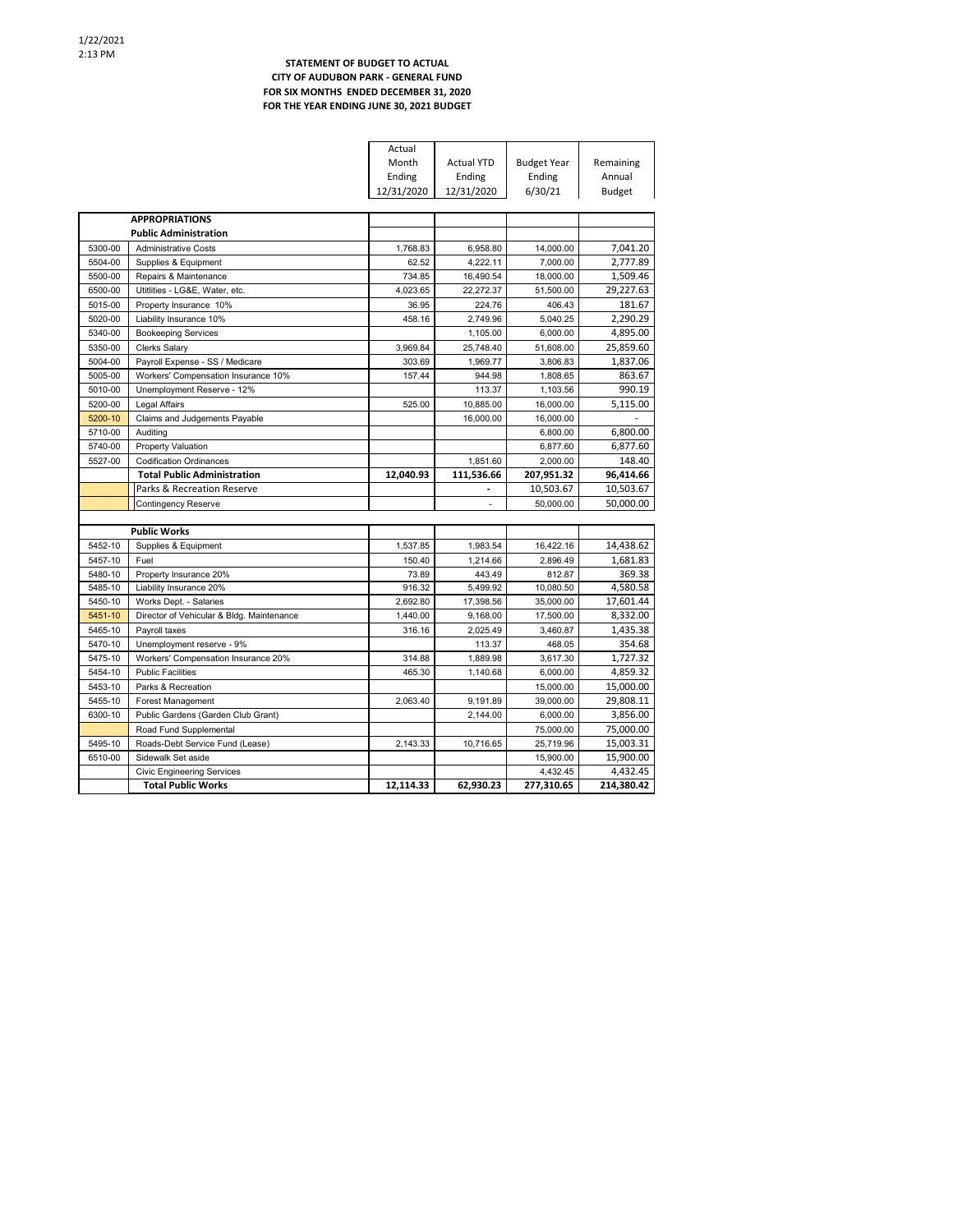### **STATEMENT OF BUDGET TO ACTUAL CITY OF AUDUBON PARK ‐ GENERAL FUND FOR SIX MONTHS ENDED DECEMBER 31, 2020 FOR THE YEAR ENDING JUNE 30, 2021 BUDGET**

|         |                                                                | Actual     |                   |                        |                        |
|---------|----------------------------------------------------------------|------------|-------------------|------------------------|------------------------|
|         |                                                                | Month      | <b>Actual YTD</b> | <b>Budget Year</b>     | Remaining              |
|         |                                                                | Ending     | Ending            | Ending                 | Annual                 |
|         |                                                                | 12/31/2020 | 12/31/2020        | 6/30/21                | <b>Budget</b>          |
|         |                                                                |            |                   |                        |                        |
|         | <b>APPROPRIATIONS</b>                                          |            |                   |                        |                        |
|         | <b>Public Administration</b>                                   |            |                   |                        |                        |
| 5300-00 | <b>Administrative Costs</b>                                    | 1.768.83   | 6.958.80          | 14.000.00              | 7,041.20               |
| 5504-00 | Supplies & Equipment                                           | 62.52      | 4,222.11          | 7,000.00               | 2,777.89               |
| 5500-00 | Repairs & Maintenance                                          | 734.85     | 16,490.54         | 18.000.00              | 1,509.46               |
| 6500-00 | Utitlities - LG&E, Water, etc.                                 | 4,023.65   | 22,272.37         | 51,500.00              | 29,227.63              |
| 5015-00 | Property Insurance 10%                                         | 36.95      | 224.76            | 406.43                 | 181.67                 |
| 5020-00 | Liability Insurance 10%                                        | 458.16     | 2,749.96          | 5,040.25               | 2,290.29               |
| 5340-00 | <b>Bookeeping Services</b>                                     |            | 1.105.00          | 6.000.00               | 4,895.00               |
| 5350-00 | <b>Clerks Salary</b>                                           | 3,969.84   | 25,748.40         | 51,608.00              | 25,859.60              |
| 5004-00 | Payroll Expense - SS / Medicare                                | 303.69     | 1,969.77          | 3,806.83               | 1,837.06               |
| 5005-00 | Workers' Compensation Insurance 10%                            | 157.44     | 944.98            | 1.808.65               | 863.67                 |
| 5010-00 | Unemployment Reserve - 12%                                     |            | 113.37            | 1,103.56               | 990.19                 |
| 5200-00 | Legal Affairs                                                  | 525.00     | 10,885.00         | 16,000.00              | 5,115.00               |
| 5200-10 | Claims and Judgements Payable                                  |            | 16,000.00         | 16.000.00              |                        |
| 5710-00 | Auditing                                                       |            |                   | 6,800.00               | 6,800.00               |
| 5740-00 | <b>Property Valuation</b>                                      |            |                   | 6,877.60               | 6,877.60               |
| 5527-00 | <b>Codification Ordinances</b>                                 |            | 1,851.60          | 2,000.00               | 148.40                 |
|         | <b>Total Public Administration</b>                             | 12,040.93  | 111,536.66        | 207,951.32             | 96,414.66              |
|         | Parks & Recreation Reserve                                     |            |                   | 10,503.67              | 10,503.67              |
|         | Contingency Reserve                                            |            |                   | 50.000.00              | 50,000.00              |
|         |                                                                |            |                   |                        |                        |
|         | <b>Public Works</b>                                            |            |                   |                        |                        |
| 5452-10 | Supplies & Equipment                                           | 1.537.85   | 1,983.54          | 16,422.16              | 14,438.62              |
| 5457-10 | Fuel                                                           | 150.40     | 1,214.66          | 2,896.49               | 1,681.83               |
| 5480-10 | Property Insurance 20%                                         | 73.89      | 443.49            | 812.87                 | 369.38                 |
| 5485-10 | Liability Insurance 20%                                        | 916.32     | 5,499.92          | 10,080.50              | 4,580.58               |
| 5450-10 | Works Dept. - Salaries                                         |            |                   |                        |                        |
|         |                                                                | 2,692.80   | 17,398.56         | 35,000.00              | 17,601.44              |
| 5451-10 | Director of Vehicular & Bldg. Maintenance                      | 1,440.00   | 9,168.00          | 17,500.00              | 8,332.00               |
| 5465-10 | Payroll taxes                                                  | 316.16     | 2,025.49          | 3,460.87               | 1,435.38               |
| 5470-10 | Unemployment reserve - 9%                                      |            | 113.37            | 468.05                 | 354.68                 |
| 5475-10 | Workers' Compensation Insurance 20%                            | 314.88     | 1,889.98          | 3,617.30               | 1,727.32               |
| 5454-10 | <b>Public Facilities</b>                                       | 465.30     | 1,140.68          | 6,000.00               | 4,859.32               |
| 5453-10 | Parks & Recreation                                             |            |                   | 15,000.00              | 15,000.00              |
| 5455-10 | Forest Management                                              | 2,063.40   | 9,191.89          | 39,000.00              | 29,808.11              |
| 6300-10 | Public Gardens (Garden Club Grant)                             |            | 2,144.00          | 6,000.00               | 3,856.00               |
|         | Road Fund Supplemental                                         |            |                   | 75,000.00              | 75,000.00              |
| 5495-10 | Roads-Debt Service Fund (Lease)                                | 2,143.33   | 10.716.65         | 25.719.96              | 15,003.31              |
| 6510-00 | Sidewalk Set aside                                             |            |                   | 15,900.00              | 15,900.00              |
|         | <b>Civic Engineering Services</b><br><b>Total Public Works</b> | 12.114.33  | 62,930.23         | 4,432.45<br>277,310.65 | 4,432.45<br>214,380.42 |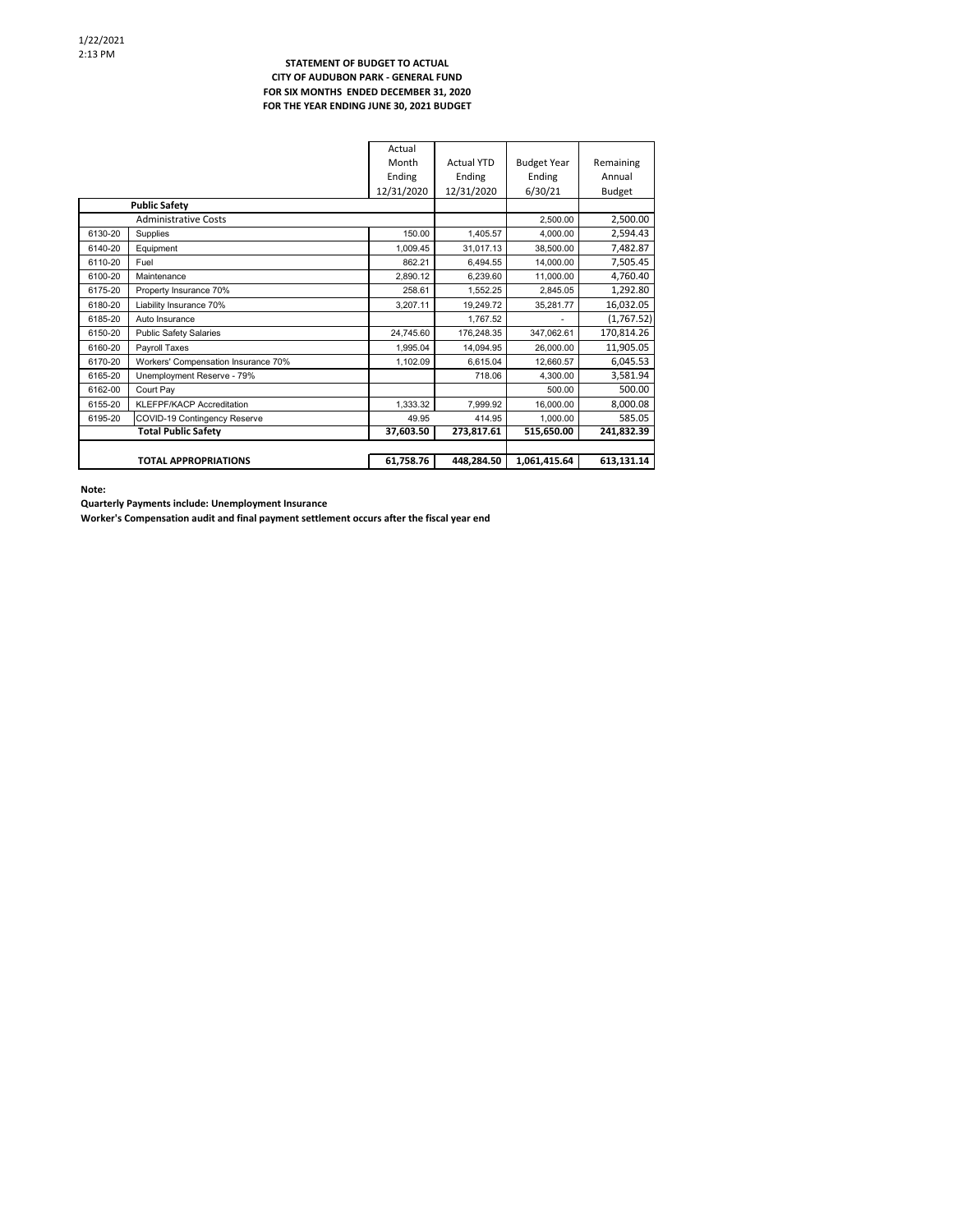### **STATEMENT OF BUDGET TO ACTUAL CITY OF AUDUBON PARK ‐ GENERAL FUND FOR SIX MONTHS ENDED DECEMBER 31, 2020 FOR THE YEAR ENDING JUNE 30, 2021 BUDGET**

|         |                                     | Actual     |                   |                    |            |
|---------|-------------------------------------|------------|-------------------|--------------------|------------|
|         |                                     | Month      | <b>Actual YTD</b> | <b>Budget Year</b> | Remaining  |
|         |                                     | Ending     | Ending            | Ending             | Annual     |
|         |                                     | 12/31/2020 | 12/31/2020        | 6/30/21            | Budget     |
|         | <b>Public Safety</b>                |            |                   |                    |            |
|         | <b>Administrative Costs</b>         |            |                   | 2,500.00           | 2,500.00   |
| 6130-20 | Supplies                            | 150.00     | 1,405.57          | 4.000.00           | 2,594.43   |
| 6140-20 | Equipment                           | 1.009.45   | 31,017.13         | 38.500.00          | 7,482.87   |
| 6110-20 | Fuel                                | 862.21     | 6.494.55          | 14.000.00          | 7,505.45   |
| 6100-20 | Maintenance                         | 2.890.12   | 6.239.60          | 11.000.00          | 4,760.40   |
| 6175-20 | Property Insurance 70%              | 258.61     | 1.552.25          | 2.845.05           | 1,292.80   |
| 6180-20 | Liability Insurance 70%             | 3.207.11   | 19,249.72         | 35,281.77          | 16,032.05  |
| 6185-20 | Auto Insurance                      |            | 1.767.52          |                    | (1,767.52) |
| 6150-20 | <b>Public Safety Salaries</b>       | 24,745.60  | 176,248.35        | 347,062.61         | 170,814.26 |
| 6160-20 | Payroll Taxes                       | 1.995.04   | 14,094.95         | 26,000.00          | 11,905.05  |
| 6170-20 | Workers' Compensation Insurance 70% | 1,102.09   | 6,615.04          | 12,660.57          | 6,045.53   |
| 6165-20 | Unemployment Reserve - 79%          |            | 718.06            | 4.300.00           | 3,581.94   |
| 6162-00 | Court Pav                           |            |                   | 500.00             | 500.00     |
| 6155-20 | <b>KLEFPF/KACP Accreditation</b>    | 1,333.32   | 7,999.92          | 16,000.00          | 8,000.08   |
| 6195-20 | COVID-19 Contingency Reserve        | 49.95      | 414.95            | 1.000.00           | 585.05     |
|         | <b>Total Public Safety</b>          | 37,603.50  | 273,817.61        | 515,650.00         | 241,832.39 |
|         |                                     |            |                   |                    |            |
|         | <b>TOTAL APPROPRIATIONS</b>         | 61,758.76  | 448,284.50        | 1,061,415.64       | 613,131.14 |

**Note:**

**Quarterly Payments include: Unemployment Insurance**

**Worker's Compensation audit and final payment settlement occurs after the fiscal year end**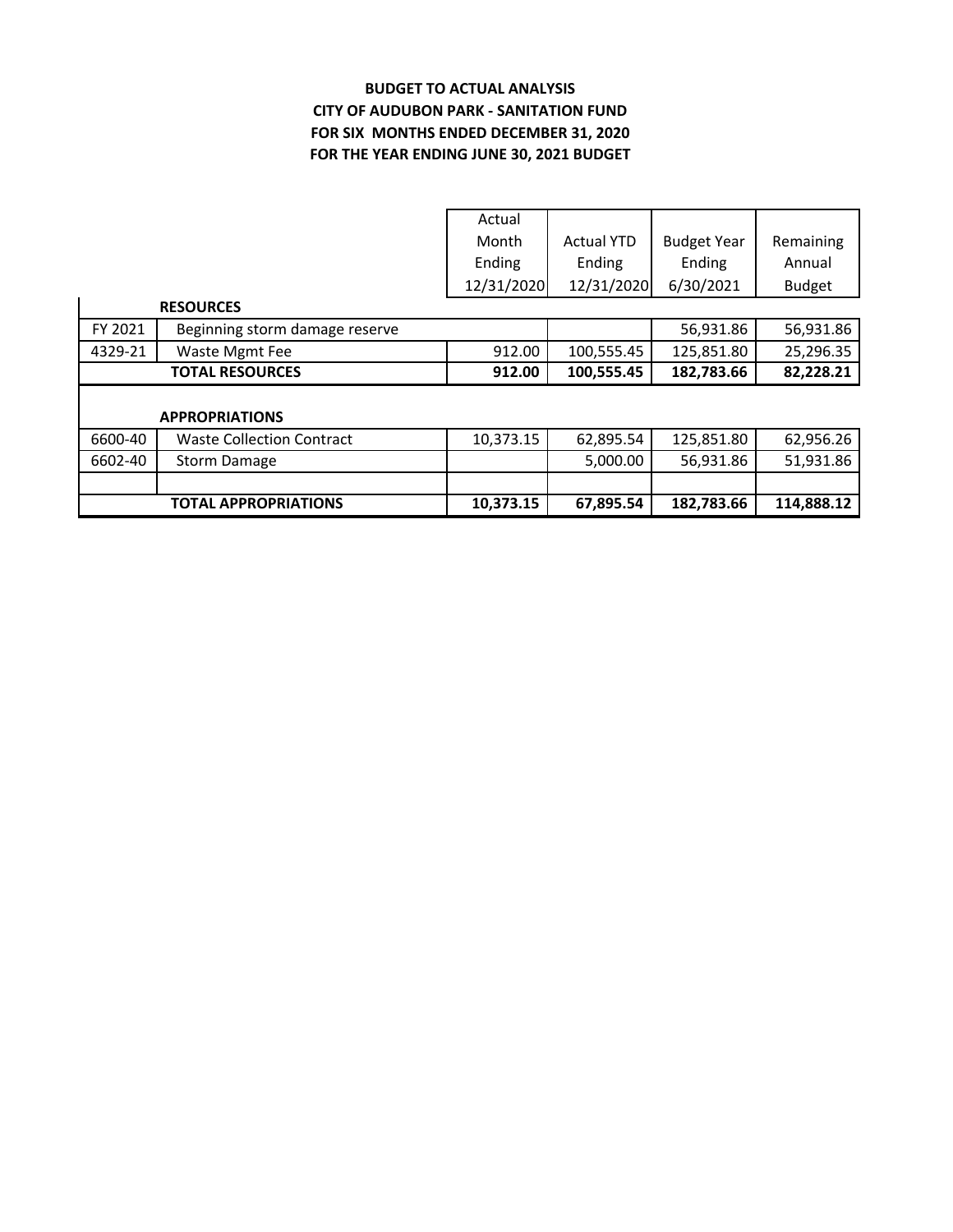# **BUDGET TO ACTUAL ANALYSIS CITY OF AUDUBON PARK ‐ SANITATION FUND FOR THE YEAR ENDING JUNE 30, 2021 BUDGET FOR SIX MONTHS ENDED DECEMBER 31, 2020**

|         |                                  | Actual     |                   |                    |               |
|---------|----------------------------------|------------|-------------------|--------------------|---------------|
|         |                                  | Month      | <b>Actual YTD</b> | <b>Budget Year</b> | Remaining     |
|         |                                  | Ending     | Ending            | Ending             | Annual        |
|         |                                  | 12/31/2020 | 12/31/2020        | 6/30/2021          | <b>Budget</b> |
|         | <b>RESOURCES</b>                 |            |                   |                    |               |
| FY 2021 | Beginning storm damage reserve   |            |                   | 56,931.86          | 56,931.86     |
| 4329-21 | Waste Mgmt Fee                   | 912.00     | 100,555.45        | 125,851.80         | 25,296.35     |
|         | <b>TOTAL RESOURCES</b>           | 912.00     | 100,555.45        | 182,783.66         | 82,228.21     |
|         |                                  |            |                   |                    |               |
|         | <b>APPROPRIATIONS</b>            |            |                   |                    |               |
| 6600-40 | <b>Waste Collection Contract</b> | 10,373.15  | 62,895.54         | 125,851.80         | 62,956.26     |
| 6602-40 | <b>Storm Damage</b>              |            | 5,000.00          | 56,931.86          | 51,931.86     |
|         |                                  |            |                   |                    |               |
|         |                                  |            |                   |                    |               |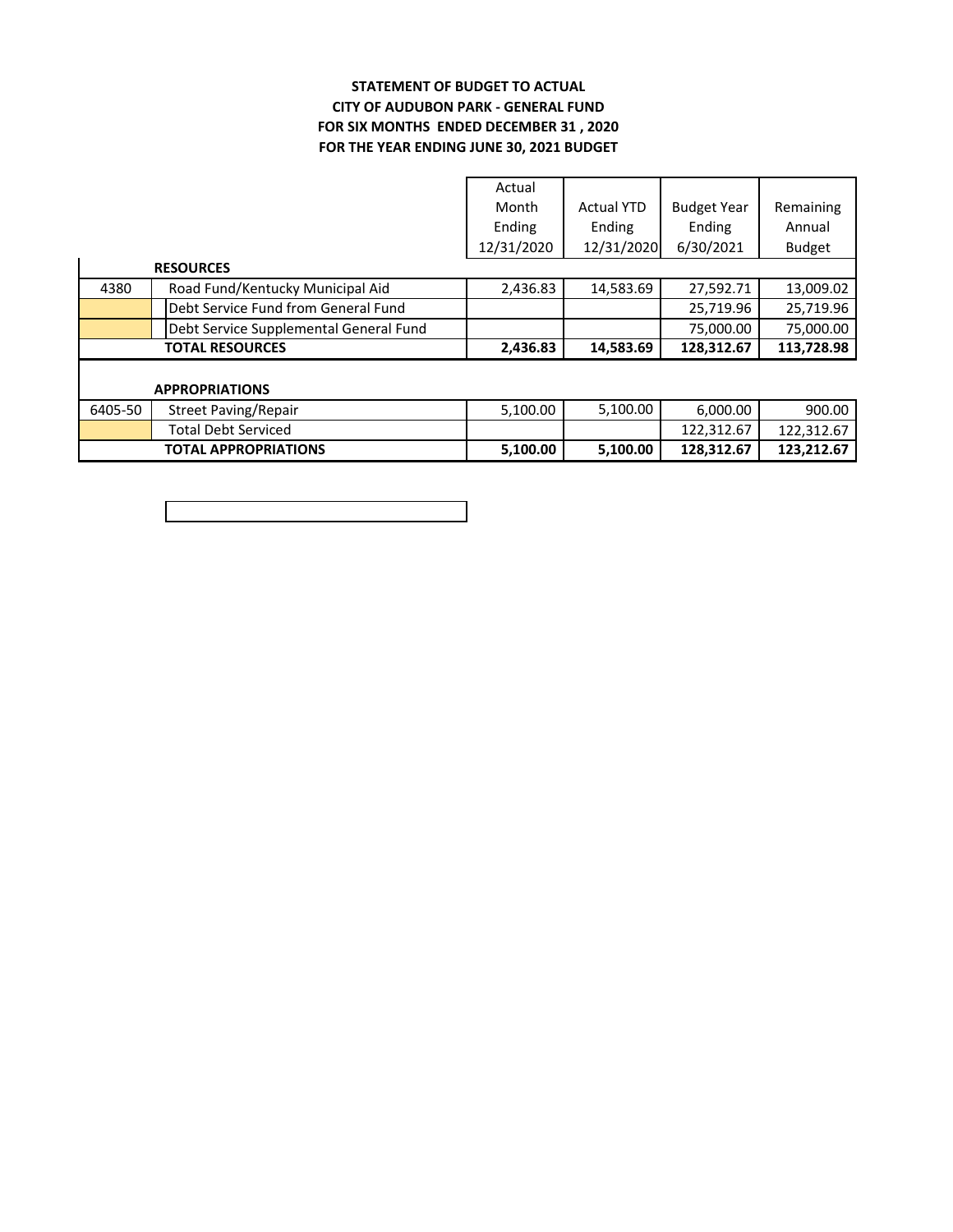### **FOR SIX MONTHS ENDED DECEMBER 31 , 2020 STATEMENT OF BUDGET TO ACTUAL CITY OF AUDUBON PARK ‐ GENERAL FUND FOR THE YEAR ENDING JUNE 30, 2021 BUDGET**

|                        |                                        | Actual     |                   |                    |               |  |
|------------------------|----------------------------------------|------------|-------------------|--------------------|---------------|--|
|                        |                                        | Month      | <b>Actual YTD</b> | <b>Budget Year</b> | Remaining     |  |
|                        |                                        | Ending     | Ending            | Ending             | Annual        |  |
|                        |                                        | 12/31/2020 | 12/31/2020        | 6/30/2021          | <b>Budget</b> |  |
|                        | <b>RESOURCES</b>                       |            |                   |                    |               |  |
| 4380                   | Road Fund/Kentucky Municipal Aid       | 2,436.83   | 14,583.69         | 27,592.71          | 13,009.02     |  |
|                        | Debt Service Fund from General Fund    |            |                   | 25,719.96          | 25,719.96     |  |
|                        | Debt Service Supplemental General Fund |            |                   | 75,000.00          | 75,000.00     |  |
| <b>TOTAL RESOURCES</b> |                                        | 2,436.83   | 14,583.69         | 128,312.67         | 113,728.98    |  |
|                        |                                        |            |                   |                    |               |  |
| <b>APPROPRIATIONS</b>  |                                        |            |                   |                    |               |  |
| 6405-50                | <b>Street Paving/Repair</b>            | 5,100.00   | 5,100.00          | 6,000.00           | 900.00        |  |
|                        | <b>Total Debt Serviced</b>             |            |                   | 122,312.67         | 122,312.67    |  |
|                        | <b>TOTAL APPROPRIATIONS</b>            | 5,100.00   | 5,100.00          | 128,312.67         | 123,212.67    |  |